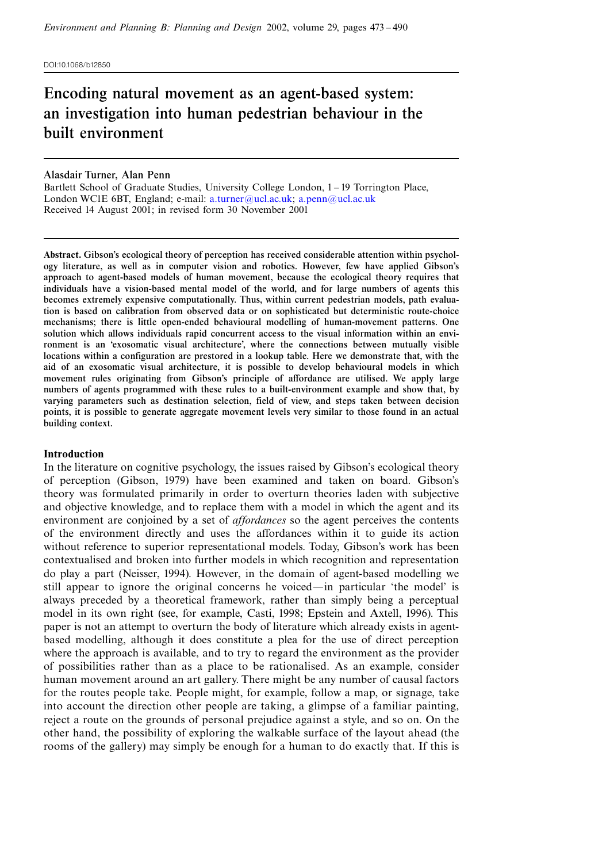DOI:10.1068/b12850

# Encoding natural movement as an agent-based system: an investigation into human pedestrian behaviour in the built environment

# Alasdair Turner, Alan Penn

Bartlett School of Graduate Studies, University College London, 1 - 19 Torrington Place, London WC1E 6BT, England; e-mail: [a.turner@ucl.ac.uk](mailto:a.turner@ucl.ac.uk); [a.penn@ucl.ac.uk](mailto:a.penn@ucl.ac.uk) Received 14 August 2001; in revised form 30 November 2001

Abstract. Gibson's ecological theory of perception has received considerable attention within psychology literature, as well as in computer vision and robotics. However, few have applied Gibson's approach to agent-based models of human movement, because the ecological theory requires that individuals have a vision-based mental model of the world, and for large numbers of agents this becomes extremely expensive computationally. Thus, within current pedestrian models, path evaluation is based on calibration from observed data or on sophisticated but deterministic route-choice mechanisms; there is little open-ended behavioural modelling of human-movement patterns. One solution which allows individuals rapid concurrent access to the visual information within an environment is an `exosomatic visual architecture', where the connections between mutually visible locations within a configuration are prestored in a lookup table. Here we demonstrate that, with the aid of an exosomatic visual architecture, it is possible to develop behavioural models in which movement rules originating from Gibson's principle of affordance are utilised. We apply large numbers of agents programmed with these rules to a built-environment example and show that, by varying parameters such as destination selection, field of view, and steps taken between decision points, it is possible to generate aggregate movement levels very similar to those found in an actual building context.

## Introduction

In the literature on cognitive psychology, the issues raised by Gibson's ecological theory of perception (Gibson, 1979) have been examined and taken on board. Gibson's theory was formulated primarily in order to overturn theories laden with subjective and objective knowledge, and to replace them with a model in which the agent and its environment are conjoined by a set of *affordances* so the agent perceives the contents of the environment directly and uses the affordances within it to guide its action without reference to superior representational models. Today, Gibson's work has been contextualised and broken into further models in which recognition and representation do play a part (Neisser, 1994). However, in the domain of agent-based modelling we still appear to ignore the original concerns he voiced—in particular 'the model' is always preceded by a theoretical framework, rather than simply being a perceptual model in its own right (see, for example, Casti, 1998; Epstein and Axtell, 1996). This paper is not an attempt to overturn the body of literature which already exists in agentbased modelling, although it does constitute a plea for the use of direct perception where the approach is available, and to try to regard the environment as the provider of possibilities rather than as a place to be rationalised. As an example, consider human movement around an art gallery. There might be any number of causal factors for the routes people take. People might, for example, follow a map, or signage, take into account the direction other people are taking, a glimpse of a familiar painting, reject a route on the grounds of personal prejudice against a style, and so on. On the other hand, the possibility of exploring the walkable surface of the layout ahead (the rooms of the gallery) may simply be enough for a human to do exactly that. If this is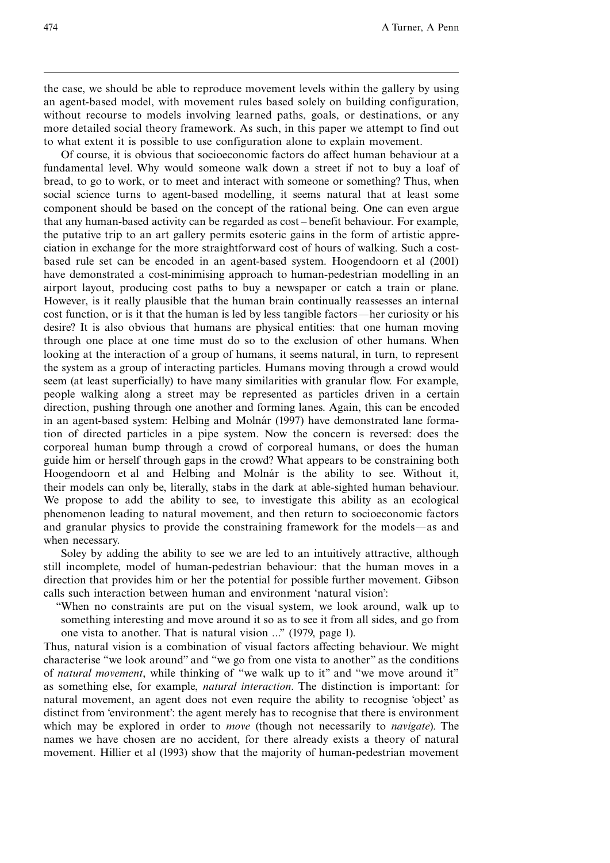the case, we should be able to reproduce movement levels within the gallery by using an agent-based model, with movement rules based solely on building configuration, without recourse to models involving learned paths, goals, or destinations, or any more detailed social theory framework. As such, in this paper we attempt to find out to what extent it is possible to use configuration alone to explain movement.

Of course, it is obvious that socioeconomic factors do affect human behaviour at a fundamental level. Why would someone walk down a street if not to buy a loaf of bread, to go to work, or to meet and interact with someone or something? Thus, when social science turns to agent-based modelling, it seems natural that at least some component should be based on the concept of the rational being. One can even argue that any human-based activity can be regarded as cost ^ benefit behaviour. For example, the putative trip to an art gallery permits esoteric gains in the form of artistic appreciation in exchange for the more straightforward cost of hours of walking. Such a costbased rule set can be encoded in an agent-based system. Hoogendoorn et al (2001) have demonstrated a cost-minimising approach to human-pedestrian modelling in an airport layout, producing cost paths to buy a newspaper or catch a train or plane. However, is it really plausible that the human brain continually reassesses an internal cost function, or is it that the human is led by less tangible factors—her curiosity or his desire? It is also obvious that humans are physical entities: that one human moving through one place at one time must do so to the exclusion of other humans. When looking at the interaction of a group of humans, it seems natural, in turn, to represent the system as a group of interacting particles. Humans moving through a crowd would seem (at least superficially) to have many similarities with granular flow. For example, people walking along a street may be represented as particles driven in a certain direction, pushing through one another and forming lanes. Again, this can be encoded in an agent-based system: Helbing and Molnár (1997) have demonstrated lane formation of directed particles in a pipe system. Now the concern is reversed: does the corporeal human bump through a crowd of corporeal humans, or does the human guide him or herself through gaps in the crowd? What appears to be constraining both Hoogendoorn et al and Helbing and Molnár is the ability to see. Without it, their models can only be, literally, stabs in the dark at able-sighted human behaviour. We propose to add the ability to see, to investigate this ability as an ecological phenomenon leading to natural movement, and then return to socioeconomic factors and granular physics to provide the constraining framework for the models—as and when necessary.

Soley by adding the ability to see we are led to an intuitively attractive, although still incomplete, model of human-pedestrian behaviour: that the human moves in a direction that provides him or her the potential for possible further movement. Gibson calls such interaction between human and environment `natural vision':

``When no constraints are put on the visual system, we look around, walk up to something interesting and move around it so as to see it from all sides, and go from one vista to another. That is natural vision ...'' (1979, page 1).

Thus, natural vision is a combination of visual factors affecting behaviour. We might characterise "we look around" and "we go from one vista to another" as the conditions of *natural movement*, while thinking of "we walk up to it" and "we move around it" as something else, for example, natural interaction. The distinction is important: for natural movement, an agent does not even require the ability to recognise `object' as distinct from 'environment': the agent merely has to recognise that there is environment which may be explored in order to *move* (though not necessarily to *navigate*). The names we have chosen are no accident, for there already exists a theory of natural movement. Hillier et al (1993) show that the majority of human-pedestrian movement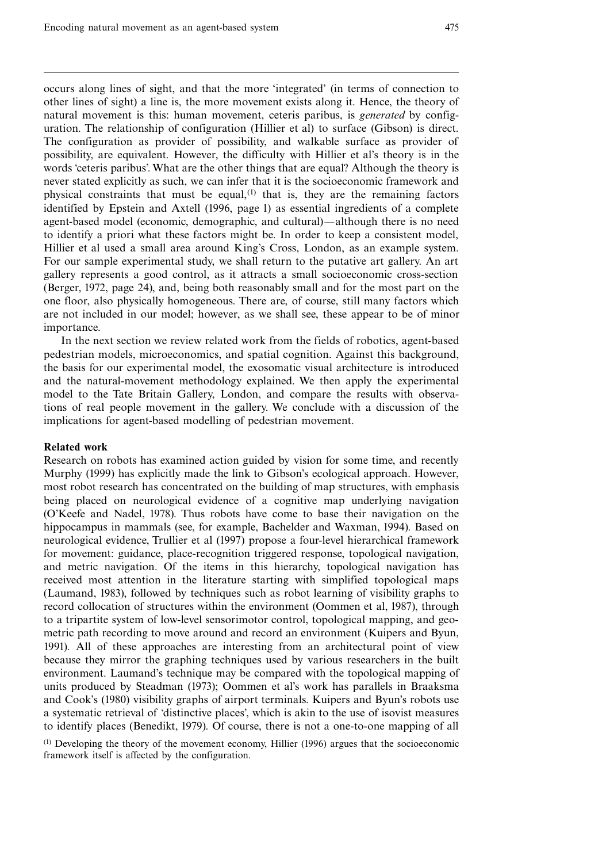occurs along lines of sight, and that the more `integrated' (in terms of connection to other lines of sight) a line is, the more movement exists along it. Hence, the theory of natural movement is this: human movement, ceteris paribus, is *generated* by configuration. The relationship of configuration (Hillier et al) to surface (Gibson) is direct. The configuration as provider of possibility, and walkable surface as provider of possibility, are equivalent. However, the difficulty with Hillier et al's theory is in the words 'ceteris paribus'. What are the other things that are equal? Although the theory is never stated explicitly as such, we can infer that it is the socioeconomic framework and physical constraints that must be equal, $(1)$  that is, they are the remaining factors identified by Epstein and Axtell (1996, page 1) as essential ingredients of a complete agent-based model (economic, demographic, and cultural)—although there is no need to identify a priori what these factors might be. In order to keep a consistent model, Hillier et al used a small area around King's Cross, London, as an example system. For our sample experimental study, we shall return to the putative art gallery. An art gallery represents a good control, as it attracts a small socioeconomic cross-section (Berger, 1972, page 24), and, being both reasonably small and for the most part on the one floor, also physically homogeneous. There are, of course, still many factors which are not included in our model; however, as we shall see, these appear to be of minor importance.

In the next section we review related work from the fields of robotics, agent-based pedestrian models, microeconomics, and spatial cognition. Against this background, the basis for our experimental model, the exosomatic visual architecture is introduced and the natural-movement methodology explained. We then apply the experimental model to the Tate Britain Gallery, London, and compare the results with observations of real people movement in the gallery. We conclude with a discussion of the implications for agent-based modelling of pedestrian movement.

# Related work

Research on robots has examined action guided by vision for some time, and recently Murphy (1999) has explicitly made the link to Gibson's ecological approach. However, most robot research has concentrated on the building of map structures, with emphasis being placed on neurological evidence of a cognitive map underlying navigation (O'Keefe and Nadel, 1978). Thus robots have come to base their navigation on the hippocampus in mammals (see, for example, Bachelder and Waxman, 1994). Based on neurological evidence, Trullier et al (1997) propose a four-level hierarchical framework for movement: guidance, place-recognition triggered response, topological navigation, and metric navigation. Of the items in this hierarchy, topological navigation has received most attention in the literature starting with simplified topological maps (Laumand, 1983), followed by techniques such as robot learning of visibility graphs to record collocation of structures within the environment (Oommen et al, 1987), through to a tripartite system of low-level sensorimotor control, topological mapping, and geometric path recording to move around and record an environment (Kuipers and Byun, 1991). All of these approaches are interesting from an architectural point of view because they mirror the graphing techniques used by various researchers in the built environment. Laumand's technique may be compared with the topological mapping of units produced by Steadman (1973); Oommen et al's work has parallels in Braaksma and Cook's (1980) visibility graphs of airport terminals. Kuipers and Byun's robots use a systematic retrieval of `distinctive places', which is akin to the use of isovist measures to identify places (Benedikt, 1979). Of course, there is not a one-to-one mapping of all

 $<sup>(1)</sup>$  Developing the theory of the movement economy. Hillier (1996) argues that the socioeconomic</sup> framework itself is affected by the configuration.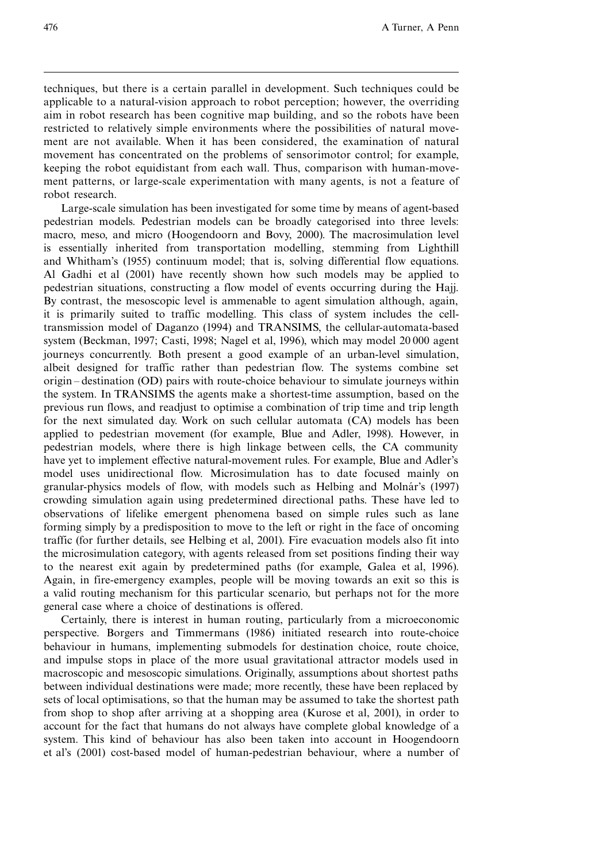techniques, but there is a certain parallel in development. Such techniques could be applicable to a natural-vision approach to robot perception; however, the overriding aim in robot research has been cognitive map building, and so the robots have been restricted to relatively simple environments where the possibilities of natural movement are not available. When it has been considered, the examination of natural movement has concentrated on the problems of sensorimotor control; for example, keeping the robot equidistant from each wall. Thus, comparison with human-movement patterns, or large-scale experimentation with many agents, is not a feature of robot research.

Large-scale simulation has been investigated for some time by means of agent-based pedestrian models. Pedestrian models can be broadly categorised into three levels: macro, meso, and micro (Hoogendoorn and Bovy, 2000). The macrosimulation level is essentially inherited from transportation modelling, stemming from Lighthill and Whitham's (1955) continuum model; that is, solving differential flow equations. Al Gadhi et al (2001) have recently shown how such models may be applied to pedestrian situations, constructing a flow model of events occurring during the Hajj. By contrast, the mesoscopic level is ammenable to agent simulation although, again, it is primarily suited to traffic modelling. This class of system includes the celltransmission model of Daganzo (1994) and TRANSIMS, the cellular-automata-based system (Beckman, 1997; Casti, 1998; Nagel et al, 1996), which may model 20 000 agent journeys concurrently. Both present a good example of an urban-level simulation, albeit designed for traffic rather than pedestrian flow. The systems combine set origin – destination (OD) pairs with route-choice behaviour to simulate journeys within the system. In TRANSIMS the agents make a shortest-time assumption, based on the previous run flows, and readjust to optimise a combination of trip time and trip length for the next simulated day. Work on such cellular automata (CA) models has been applied to pedestrian movement (for example, Blue and Adler, 1998). However, in pedestrian models, where there is high linkage between cells, the CA community have yet to implement effective natural-movement rules. For example, Blue and Adler's model uses unidirectional flow. Microsimulation has to date focused mainly on granular-physics models of flow, with models such as Helbing and Molnár's (1997) crowding simulation again using predetermined directional paths. These have led to observations of lifelike emergent phenomena based on simple rules such as lane forming simply by a predisposition to move to the left or right in the face of oncoming traffic (for further details, see Helbing et al, 2001). Fire evacuation models also fit into the microsimulation category, with agents released from set positions finding their way to the nearest exit again by predetermined paths (for example, Galea et al, 1996). Again, in fire-emergency examples, people will be moving towards an exit so this is a valid routing mechanism for this particular scenario, but perhaps not for the more general case where a choice of destinations is offered.

Certainly, there is interest in human routing, particularly from a microeconomic perspective. Borgers and Timmermans (1986) initiated research into route-choice behaviour in humans, implementing submodels for destination choice, route choice, and impulse stops in place of the more usual gravitational attractor models used in macroscopic and mesoscopic simulations. Originally, assumptions about shortest paths between individual destinations were made; more recently, these have been replaced by sets of local optimisations, so that the human may be assumed to take the shortest path from shop to shop after arriving at a shopping area (Kurose et al, 2001), in order to account for the fact that humans do not always have complete global knowledge of a system. This kind of behaviour has also been taken into account in Hoogendoorn et al's (2001) cost-based model of human-pedestrian behaviour, where a number of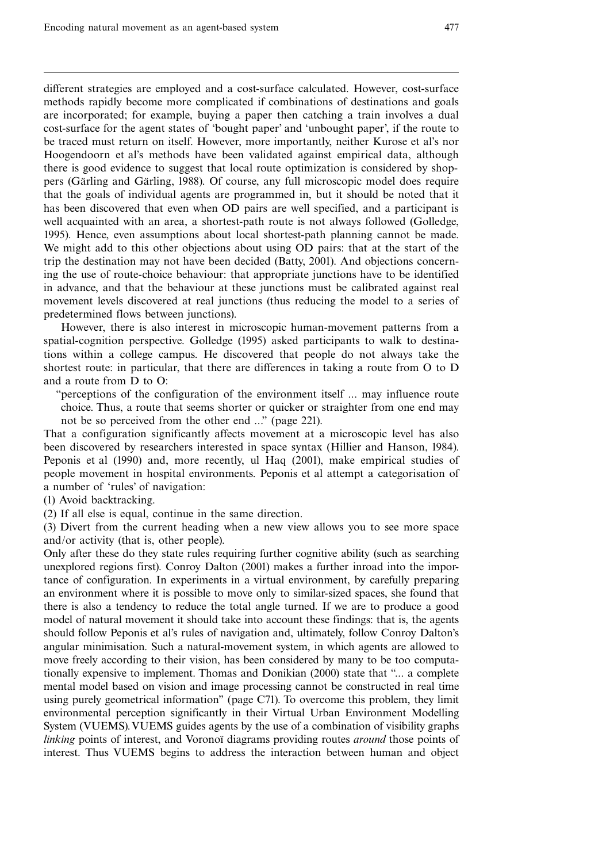different strategies are employed and a cost-surface calculated. However, cost-surface methods rapidly become more complicated if combinations of destinations and goals are incorporated; for example, buying a paper then catching a train involves a dual cost-surface for the agent states of `bought paper' and `unbought paper', if the route to be traced must return on itself. However, more importantly, neither Kurose et al's nor Hoogendoorn et al's methods have been validated against empirical data, although there is good evidence to suggest that local route optimization is considered by shoppers (Gärling and Gärling, 1988). Of course, any full microscopic model does require that the goals of individual agents are programmed in, but it should be noted that it has been discovered that even when OD pairs are well specified, and a participant is well acquainted with an area, a shortest-path route is not always followed (Golledge, 1995). Hence, even assumptions about local shortest-path planning cannot be made. We might add to this other objections about using OD pairs: that at the start of the trip the destination may not have been decided (Batty, 2001). And objections concerning the use of route-choice behaviour: that appropriate junctions have to be identified in advance, and that the behaviour at these junctions must be calibrated against real movement levels discovered at real junctions (thus reducing the model to a series of predetermined flows between junctions).

However, there is also interest in microscopic human-movement patterns from a spatial-cognition perspective. Golledge (1995) asked participants to walk to destinations within a college campus. He discovered that people do not always take the shortest route: in particular, that there are differences in taking a route from O to D and a route from D to O:

``perceptions of the configuration of the environment itself ... may influence route choice. Thus, a route that seems shorter or quicker or straighter from one end may not be so perceived from the other end ...'' (page 221).

That a configuration significantly affects movement at a microscopic level has also been discovered by researchers interested in space syntax (Hillier and Hanson, 1984). Peponis et al (1990) and, more recently, ul Haq (2001), make empirical studies of people movement in hospital environments. Peponis et al attempt a categorisation of a number of `rules' of navigation:

(1) Avoid backtracking.

(2) If all else is equal, continue in the same direction.

(3) Divert from the current heading when a new view allows you to see more space and/or activity (that is, other people).

Only after these do they state rules requiring further cognitive ability (such as searching unexplored regions first). Conroy Dalton (2001) makes a further inroad into the importance of configuration. In experiments in a virtual environment, by carefully preparing an environment where it is possible to move only to similar-sized spaces, she found that there is also a tendency to reduce the total angle turned. If we are to produce a good model of natural movement it should take into account these findings: that is, the agents should follow Peponis et al's rules of navigation and, ultimately, follow Conroy Dalton's angular minimisation. Such a natural-movement system, in which agents are allowed to move freely according to their vision, has been considered by many to be too computationally expensive to implement. Thomas and Donikian (2000) state that ``... a complete mental model based on vision and image processing cannot be constructed in real time using purely geometrical information'' (page C71). To overcome this problem, they limit environmental perception significantly in their Virtual Urban Environment Modelling System (VUEMS).VUEMS guides agents by the use of a combination of visibility graphs linking points of interest, and Voronoï diagrams providing routes *around* those points of interest. Thus VUEMS begins to address the interaction between human and object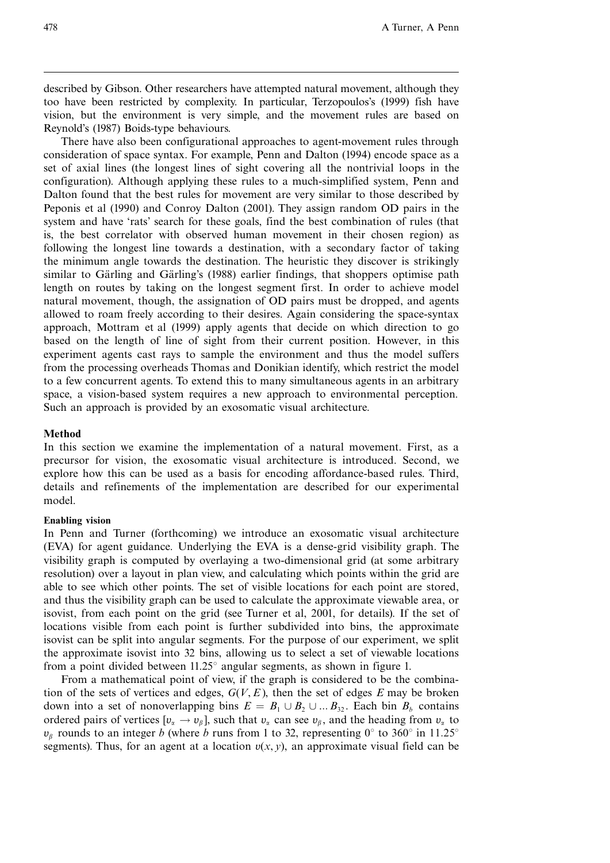described by Gibson. Other researchers have attempted natural movement, although they too have been restricted by complexity. In particular, Terzopoulos's (1999) fish have vision, but the environment is very simple, and the movement rules are based on Reynold's (1987) Boids-type behaviours.

There have also been configurational approaches to agent-movement rules through consideration of space syntax. For example, Penn and Dalton (1994) encode space as a set of axial lines (the longest lines of sight covering all the nontrivial loops in the configuration). Although applying these rules to a much-simplified system, Penn and Dalton found that the best rules for movement are very similar to those described by Peponis et al (1990) and Conroy Dalton (2001). They assign random OD pairs in the system and have 'rats' search for these goals, find the best combination of rules (that is, the best correlator with observed human movement in their chosen region) as following the longest line towards a destination, with a secondary factor of taking the minimum angle towards the destination. The heuristic they discover is strikingly similar to Gärling and Gärling's (1988) earlier findings, that shoppers optimise path length on routes by taking on the longest segment first. In order to achieve model natural movement, though, the assignation of OD pairs must be dropped, and agents allowed to roam freely according to their desires. Again considering the space-syntax approach, Mottram et al (1999) apply agents that decide on which direction to go based on the length of line of sight from their current position. However, in this experiment agents cast rays to sample the environment and thus the model suffers from the processing overheads Thomas and Donikian identify, which restrict the model to a few concurrent agents. To extend this to many simultaneous agents in an arbitrary space, a vision-based system requires a new approach to environmental perception. Such an approach is provided by an exosomatic visual architecture.

## Method

In this section we examine the implementation of a natural movement. First, as a precursor for vision, the exosomatic visual architecture is introduced. Second, we explore how this can be used as a basis for encoding affordance-based rules. Third, details and refinements of the implementation are described for our experimental model.

#### Enabling vision

In Penn and Turner (forthcoming) we introduce an exosomatic visual architecture (EVA) for agent guidance. Underlying the EVA is a dense-grid visibility graph. The visibility graph is computed by overlaying a two-dimensional grid (at some arbitrary resolution) over a layout in plan view, and calculating which points within the grid are able to see which other points. The set of visible locations for each point are stored, and thus the visibility graph can be used to calculate the approximate viewable area, or isovist, from each point on the grid (see Turner et al, 2001, for details). If the set of locations visible from each point is further subdivided into bins, the approximate isovist can be split into angular segments. For the purpose of our experiment, we split the approximate isovist into 32 bins, allowing us to select a set of viewable locations from a point divided between  $11.25^{\circ}$  angular segments, as shown in figure 1.

From a mathematical point of view, if the graph is considered to be the combination of the sets of vertices and edges,  $G(V, E)$ , then the set of edges E may be broken down into a set of nonoverlapping bins  $E = B_1 \cup B_2 \cup ... B_{32}$ . Each bin  $B_b$  contains ordered pairs of vertices  $[v_{\alpha} \to v_{\beta}]$ , such that  $v_{\alpha}$  can see  $v_{\beta}$ , and the heading from  $v_{\alpha}$  to  $v_{\beta}$  rounds to an integer b (where b runs from 1 to 32, representing 0° to 360° in 11.25° segments). Thus, for an agent at a location  $v(x, y)$ , an approximate visual field can be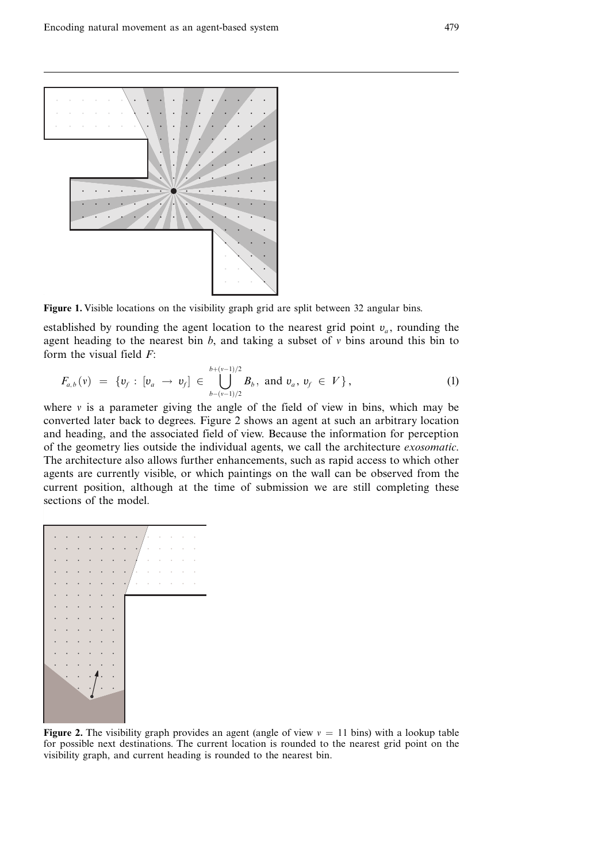

Figure 1. Visible locations on the visibility graph grid are split between 32 angular bins.

established by rounding the agent location to the nearest grid point  $v_a$ , rounding the agent heading to the nearest bin  $b$ , and taking a subset of v bins around this bin to form the visual field  $F$ :

$$
F_{a,b}(v) = \{v_f : [v_a \to v_f] \in \bigcup_{b-(v-1)/2}^{b+(v-1)/2} B_b, \text{ and } v_a, v_f \in V\},\tag{1}
$$

where  $\nu$  is a parameter giving the angle of the field of view in bins, which may be converted later back to degrees. Figure 2 shows an agent at such an arbitrary location and heading, and the associated field of view. Because the information for perception of the geometry lies outside the individual agents, we call the architecture exosomatic. The architecture also allows further enhancements, such as rapid access to which other agents are currently visible, or which paintings on the wall can be observed from the current position, although at the time of submission we are still completing these sections of the model.



**Figure 2.** The visibility graph provides an agent (angle of view  $v = 11$  bins) with a lookup table for possible next destinations. The current location is rounded to the nearest grid point on the visibility graph, and current heading is rounded to the nearest bin.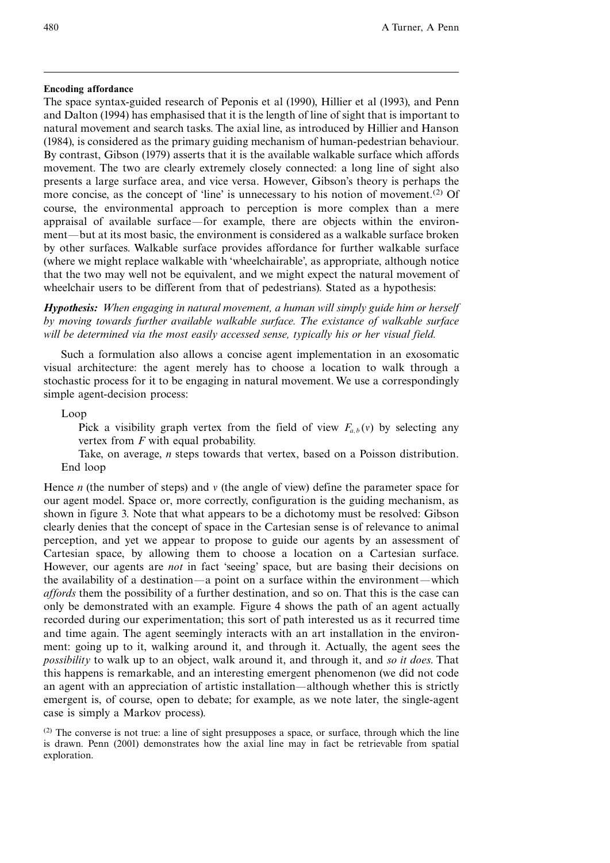# Encoding affordance

The space syntax-guided research of Peponis et al (1990), Hillier et al (1993), and Penn and Dalton (1994) has emphasised that it is the length of line of sight that is important to natural movement and search tasks. The axial line, as introduced by Hillier and Hanson (1984), is considered as the primary guiding mechanism of human-pedestrian behaviour. By contrast, Gibson (1979) asserts that it is the available walkable surface which affords movement. The two are clearly extremely closely connected: a long line of sight also presents a large surface area, and vice versa. However, Gibson's theory is perhaps the more concise, as the concept of 'line' is unnecessary to his notion of movement.<sup>(2)</sup> Of course, the environmental approach to perception is more complex than a mere appraisal of available surface—for example, there are objects within the environment—but at its most basic, the environment is considered as a walkable surface broken by other surfaces. Walkable surface provides affordance for further walkable surface (where we might replace walkable with `wheelchairable', as appropriate, although notice that the two may well not be equivalent, and we might expect the natural movement of wheelchair users to be different from that of pedestrians). Stated as a hypothesis:

Hypothesis: When engaging in natural movement, a human will simply guide him or herself by moving towards further available walkable surface. The existance of walkable surface will be determined via the most easily accessed sense, typically his or her visual field.

Such a formulation also allows a concise agent implementation in an exosomatic visual architecture: the agent merely has to choose a location to walk through a stochastic process for it to be engaging in natural movement. We use a correspondingly simple agent-decision process:

# Loop

Pick a visibility graph vertex from the field of view  $F_{a,b}(v)$  by selecting any vertex from  $F$  with equal probability.

Take, on average, n steps towards that vertex, based on a Poisson distribution. End loop

Hence *n* (the number of steps) and  $\nu$  (the angle of view) define the parameter space for our agent model. Space or, more correctly, configuration is the guiding mechanism, as shown in figure 3. Note that what appears to be a dichotomy must be resolved: Gibson clearly denies that the concept of space in the Cartesian sense is of relevance to animal perception, and yet we appear to propose to guide our agents by an assessment of Cartesian space, by allowing them to choose a location on a Cartesian surface. However, our agents are *not* in fact 'seeing' space, but are basing their decisions on the availability of a destination—a point on a surface within the environment—which affords them the possibility of a further destination, and so on. That this is the case can only be demonstrated with an example. Figure 4 shows the path of an agent actually recorded during our experimentation; this sort of path interested us as it recurred time and time again. The agent seemingly interacts with an art installation in the environment: going up to it, walking around it, and through it. Actually, the agent sees the possibility to walk up to an object, walk around it, and through it, and so it does. That this happens is remarkable, and an interesting emergent phenomenon (we did not code an agent with an appreciation of artistic installation—although whether this is strictly emergent is, of course, open to debate; for example, as we note later, the single-agent case is simply a Markov process).

(2) The converse is not true: a line of sight presupposes a space, or surface, through which the line is drawn. Penn (2001) demonstrates how the axial line may in fact be retrievable from spatial exploration.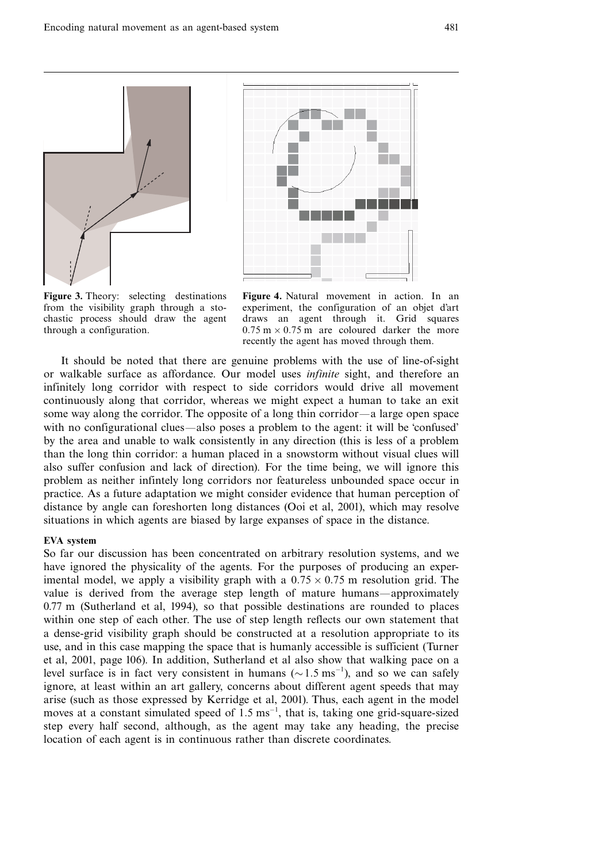

Figure 3. Theory: selecting destinations from the visibility graph through a stochastic process should draw the agent through a configuration.



Figure 4. Natural movement in action. In an experiment, the configuration of an objet d'art draws an agent through it. Grid squares  $0.75 \text{ m} \times 0.75 \text{ m}$  are coloured darker the more recently the agent has moved through them.

It should be noted that there are genuine problems with the use of line-of-sight or walkable surface as affordance. Our model uses infinite sight, and therefore an infinitely long corridor with respect to side corridors would drive all movement continuously along that corridor, whereas we might expect a human to take an exit some way along the corridor. The opposite of a long thin corridor—a large open space with no configurational clues—also poses a problem to the agent: it will be 'confused' by the area and unable to walk consistently in any direction (this is less of a problem than the long thin corridor: a human placed in a snowstorm without visual clues will also suffer confusion and lack of direction). For the time being, we will ignore this problem as neither infintely long corridors nor featureless unbounded space occur in practice. As a future adaptation we might consider evidence that human perception of distance by angle can foreshorten long distances (Ooi et al, 2001), which may resolve situations in which agents are biased by large expanses of space in the distance.

#### EVA system

So far our discussion has been concentrated on arbitrary resolution systems, and we have ignored the physicality of the agents. For the purposes of producing an experimental model, we apply a visibility graph with a  $0.75 \times 0.75$  m resolution grid. The value is derived from the average step length of mature humans—approximately 0.77 m (Sutherland et al, 1994), so that possible destinations are rounded to places within one step of each other. The use of step length reflects our own statement that a dense-grid visibility graph should be constructed at a resolution appropriate to its use, and in this case mapping the space that is humanly accessible is sufficient (Turner et al, 2001, page 106). In addition, Sutherland et al also show that walking pace on a level surface is in fact very consistent in humans ( $\sim 1.5 \text{ ms}^{-1}$ ), and so we can safely ignore, at least within an art gallery, concerns about different agent speeds that may arise (such as those expressed by Kerridge et al, 2001). Thus, each agent in the model moves at a constant simulated speed of  $1.5 \text{ ms}^{-1}$ , that is, taking one grid-square-sized step every half second, although, as the agent may take any heading, the precise location of each agent is in continuous rather than discrete coordinates.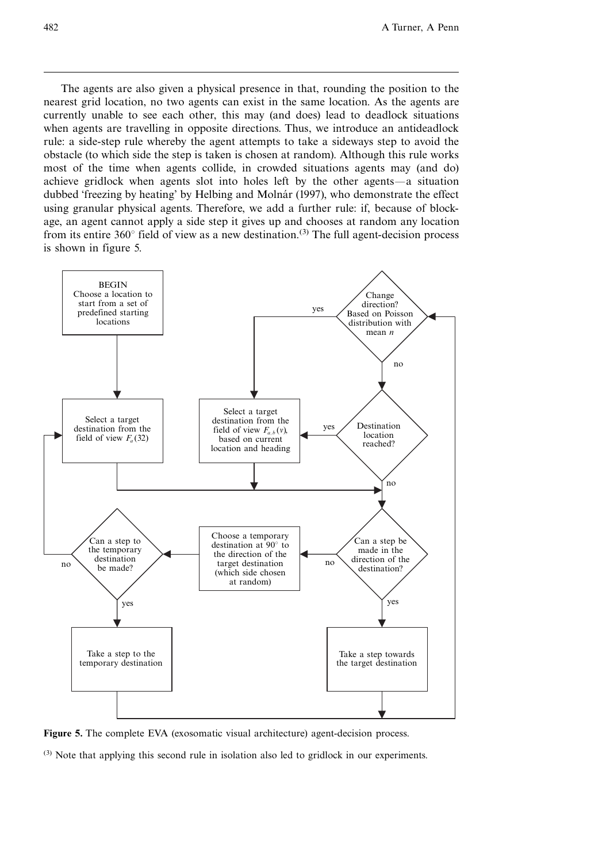The agents are also given a physical presence in that, rounding the position to the nearest grid location, no two agents can exist in the same location. As the agents are currently unable to see each other, this may (and does) lead to deadlock situations when agents are travelling in opposite directions. Thus, we introduce an antideadlock rule: a side-step rule whereby the agent attempts to take a sideways step to avoid the obstacle (to which side the step is taken is chosen at random). Although this rule works most of the time when agents collide, in crowded situations agents may (and do) achieve gridlock when agents slot into holes left by the other agents—a situation dubbed 'freezing by heating' by Helbing and Molnár (1997), who demonstrate the effect using granular physical agents. Therefore, we add a further rule: if, because of blockage, an agent cannot apply a side step it gives up and chooses at random any location from its entire 360 $\degree$  field of view as a new destination.<sup>(3)</sup> The full agent-decision process is shown in figure 5.





(3) Note that applying this second rule in isolation also led to gridlock in our experiments.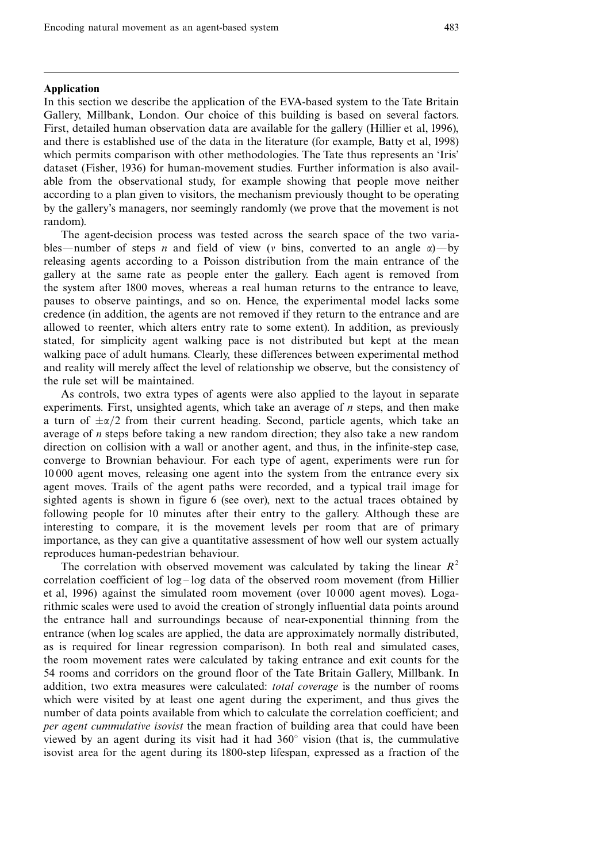## Application

In this section we describe the application of the EVA-based system to the Tate Britain Gallery, Millbank, London. Our choice of this building is based on several factors. First, detailed human observation data are available for the gallery (Hillier et al, 1996), and there is established use of the data in the literature (for example, Batty et al, 1998) which permits comparison with other methodologies. The Tate thus represents an 'Iris' dataset (Fisher, 1936) for human-movement studies. Further information is also available from the observational study, for example showing that people move neither according to a plan given to visitors, the mechanism previously thought to be operating by the gallery's managers, nor seemingly randomly (we prove that the movement is not random).

The agent-decision process was tested across the search space of the two variables—number of steps n and field of view (v bins, converted to an angle  $\alpha$ )—by releasing agents according to a Poisson distribution from the main entrance of the gallery at the same rate as people enter the gallery. Each agent is removed from the system after 1800 moves, whereas a real human returns to the entrance to leave, pauses to observe paintings, and so on. Hence, the experimental model lacks some credence (in addition, the agents are not removed if they return to the entrance and are allowed to reenter, which alters entry rate to some extent). In addition, as previously stated, for simplicity agent walking pace is not distributed but kept at the mean walking pace of adult humans. Clearly, these differences between experimental method and reality will merely affect the level of relationship we observe, but the consistency of the rule set will be maintained.

As controls, two extra types of agents were also applied to the layout in separate experiments. First, unsighted agents, which take an average of  $n$  steps, and then make a turn of  $\pm \alpha/2$  from their current heading. Second, particle agents, which take an average of n steps before taking a new random direction; they also take a new random direction on collision with a wall or another agent, and thus, in the infinite-step case, converge to Brownian behaviour. For each type of agent, experiments were run for 10 000 agent moves, releasing one agent into the system from the entrance every six agent moves. Trails of the agent paths were recorded, and a typical trail image for sighted agents is shown in figure 6 (see over), next to the actual traces obtained by following people for 10 minutes after their entry to the gallery. Although these are interesting to compare, it is the movement levels per room that are of primary importance, as they can give a quantitative assessment of how well our system actually reproduces human-pedestrian behaviour.

The correlation with observed movement was calculated by taking the linear  $R^2$ correlation coefficient of  $log - log$  data of the observed room movement (from Hillier et al, 1996) against the simulated room movement (over 10 000 agent moves). Logarithmic scales were used to avoid the creation of strongly influential data points around the entrance hall and surroundings because of near-exponential thinning from the entrance (when log scales are applied, the data are approximately normally distributed, as is required for linear regression comparison). In both real and simulated cases, the room movement rates were calculated by taking entrance and exit counts for the 54 rooms and corridors on the ground floor of the Tate Britain Gallery, Millbank. In addition, two extra measures were calculated: total coverage is the number of rooms which were visited by at least one agent during the experiment, and thus gives the number of data points available from which to calculate the correlation coefficient; and per agent cummulative isovist the mean fraction of building area that could have been viewed by an agent during its visit had it had  $360^\circ$  vision (that is, the cummulative isovist area for the agent during its 1800-step lifespan, expressed as a fraction of the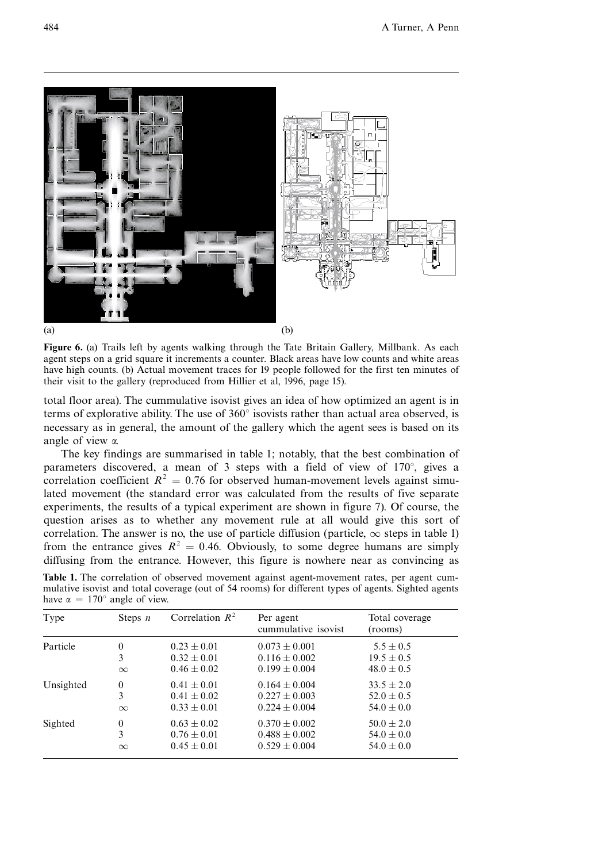

Figure 6. (a) Trails left by agents walking through the Tate Britain Gallery, Millbank. As each agent steps on a grid square it increments a counter. Black areas have low counts and white areas have high counts. (b) Actual movement traces for 19 people followed for the first ten minutes of their visit to the gallery (reproduced from Hillier et al, 1996, page 15).

total floor area). The cummulative isovist gives an idea of how optimized an agent is in terms of explorative ability. The use of  $360^\circ$  isovists rather than actual area observed, is necessary as in general, the amount of the gallery which the agent sees is based on its angle of view a.

The key findings are summarised in table 1; notably, that the best combination of parameters discovered, a mean of 3 steps with a field of view of  $170^\circ$ , gives a correlation coefficient  $R^2 = 0.76$  for observed human-movement levels against simulated movement (the standard error was calculated from the results of five separate experiments, the results of a typical experiment are shown in figure 7). Of course, the question arises as to whether any movement rule at all would give this sort of correlation. The answer is no, the use of particle diffusion (particle,  $\infty$  steps in table 1) from the entrance gives  $R^2 = 0.46$ . Obviously, to some degree humans are simply diffusing from the entrance. However, this figure is nowhere near as convincing as

|  |                                            |  |  | Table 1. The correlation of observed movement against agent-movement rates, per agent cum-          |  |  |
|--|--------------------------------------------|--|--|-----------------------------------------------------------------------------------------------------|--|--|
|  |                                            |  |  | mulative isovist and total coverage (out of 54 rooms) for different types of agents. Sighted agents |  |  |
|  | have $\alpha = 170^{\circ}$ angle of view. |  |  |                                                                                                     |  |  |

| Type      | Steps $n$    | Correlation $R^2$ | Per agent<br>cummulative isovist | Total coverage<br>(rooms) |
|-----------|--------------|-------------------|----------------------------------|---------------------------|
| Particle  | $\mathbf{0}$ | $0.23 \pm 0.01$   | $0.073 \pm 0.001$                | $5.5 \pm 0.5$             |
|           | 3            | $0.32 \pm 0.01$   | $0.116 \pm 0.002$                | $19.5 \pm 0.5$            |
|           | $\infty$     | $0.46 \pm 0.02$   | $0.199 \pm 0.004$                | $48.0 \pm 0.5$            |
| Unsighted | $\theta$     | $0.41 \pm 0.01$   | $0.164 \pm 0.004$                | $33.5 \pm 2.0$            |
|           | 3            | $0.41 \pm 0.02$   | $0.227 \pm 0.003$                | $52.0 \pm 0.5$            |
|           | $\infty$     | $0.33 \pm 0.01$   | $0.224 \pm 0.004$                | $54.0 \pm 0.0$            |
| Sighted   | $\theta$     | $0.63 \pm 0.02$   | $0.370 \pm 0.002$                | $50.0 \pm 2.0$            |
|           | 3            | $0.76 \pm 0.01$   | $0.488 \pm 0.002$                | $54.0 \pm 0.0$            |
|           | $\infty$     | $0.45 \pm 0.01$   | $0.529 \pm 0.004$                | $54.0 \pm 0.0$            |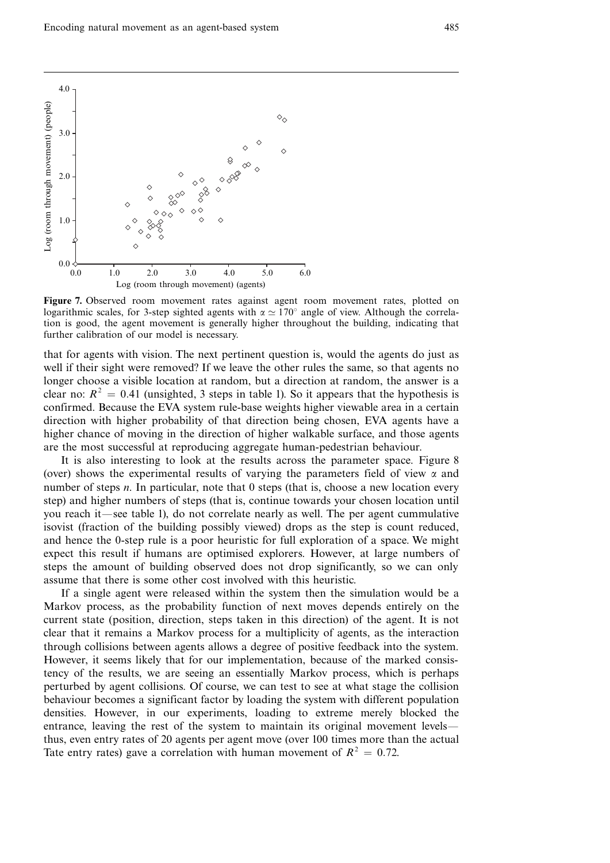

Figure 7. Observed room movement rates against agent room movement rates, plotted on logarithmic scales, for 3-step sighted agents with  $\alpha \approx 170^\circ$  angle of view. Although the correlation is good, the agent movement is generally higher throughout the building, indicating that further calibration of our model is necessary.

that for agents with vision. The next pertinent question is, would the agents do just as well if their sight were removed? If we leave the other rules the same, so that agents no longer choose a visible location at random, but a direction at random, the answer is a clear no:  $R^2 = 0.41$  (unsighted, 3 steps in table 1). So it appears that the hypothesis is confirmed. Because the EVA system rule-base weights higher viewable area in a certain direction with higher probability of that direction being chosen, EVA agents have a higher chance of moving in the direction of higher walkable surface, and those agents are the most successful at reproducing aggregate human-pedestrian behaviour.

It is also interesting to look at the results across the parameter space. Figure 8 (over) shows the experimental results of varying the parameters field of view  $\alpha$  and number of steps  $n$ . In particular, note that 0 steps (that is, choose a new location every step) and higher numbers of steps (that is, continue towards your chosen location until you reach it—see table 1), do not correlate nearly as well. The per agent cummulative isovist (fraction of the building possibly viewed) drops as the step is count reduced, and hence the 0-step rule is a poor heuristic for full exploration of a space. We might expect this result if humans are optimised explorers. However, at large numbers of steps the amount of building observed does not drop significantly, so we can only assume that there is some other cost involved with this heuristic.

If a single agent were released within the system then the simulation would be a Markov process, as the probability function of next moves depends entirely on the current state (position, direction, steps taken in this direction) of the agent. It is not clear that it remains a Markov process for a multiplicity of agents, as the interaction through collisions between agents allows a degree of positive feedback into the system. However, it seems likely that for our implementation, because of the marked consistency of the results, we are seeing an essentially Markov process, which is perhaps perturbed by agent collisions. Of course, we can test to see at what stage the collision behaviour becomes a significant factor by loading the system with different population densities. However, in our experiments, loading to extreme merely blocked the entrance, leaving the rest of the system to maintain its original movement levelsthus, even entry rates of 20 agents per agent move (over 100 times more than the actual Tate entry rates) gave a correlation with human movement of  $R^2 = 0.72$ . Essentially a correlation with the system and  $\theta$  or  $\theta$  or  $\theta$  or  $\theta$  or  $\theta$  or  $\theta$  or  $\theta$  or  $\theta$  or  $\theta$  or  $\theta$  or  $\theta$  or  $\theta$  or  $\theta$  or  $\theta$  or  $\theta$  or  $\theta$  or  $\theta$  or  $\theta$  or  $\theta$  or  $\theta$  or  $\theta$  or  $\theta$  or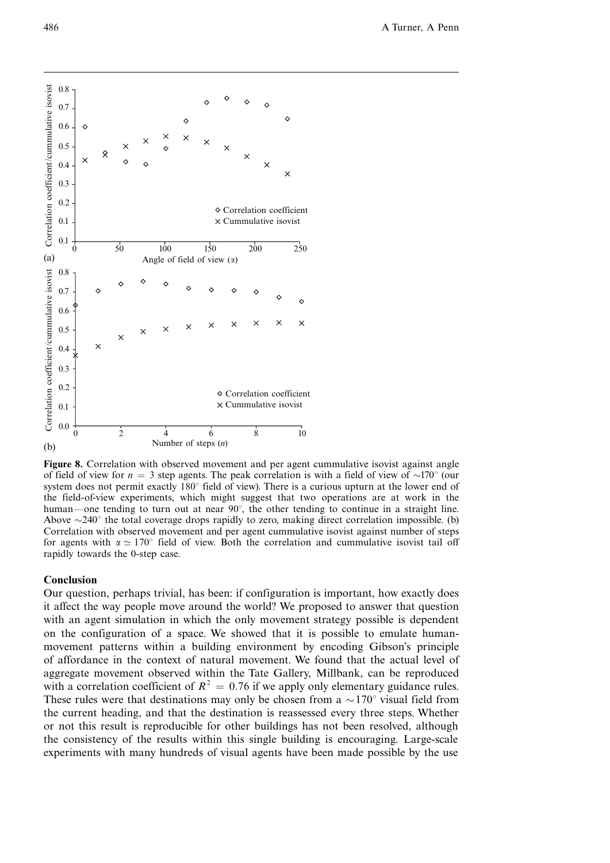

Figure 8. Correlation with observed movement and per agent cummulative isovist against angle of field of view for  $n = 3$  step agents. The peak correlation is with a field of view of  $\sim 170^{\circ}$  (our system does not permit exactly  $180^\circ$  field of view). There is a curious upturn at the lower end of the field-of-view experiments, which might suggest that two operations are at work in the human—one tending to turn out at near  $90^{\circ}$ , the other tending to continue in a straight line. Above  $\sim$ 240 $\degree$  the total coverage drops rapidly to zero, making direct correlation impossible. (b) Correlation with observed movement and per agent cummulative isovist against number of steps for agents with  $\alpha \simeq 170^{\circ}$  field of view. Both the correlation and cummulative isovist tail off rapidly towards the 0-step case.

## Conclusion

Our question, perhaps trivial, has been: if configuration is important, how exactly does it affect the way people move around the world? We proposed to answer that question with an agent simulation in which the only movement strategy possible is dependent on the configuration of a space. We showed that it is possible to emulate humanmovement patterns within a building environment by encoding Gibson's principle of affordance in the context of natural movement. We found that the actual level of aggregate movement observed within the Tate Gallery, Millbank, can be reproduced with a correlation coefficient of  $R^2 = 0.76$  if we apply only elementary guidance rules. These rules were that destinations may only be chosen from a  $\sim 170^{\circ}$  visual field from the current heading, and that the destination is reassessed every three steps. Whether or not this result is reproducible for other buildings has not been resolved, although the consistency of the results within this single building is encouraging. Large-scale experiments with many hundreds of visual agents have been made possible by the use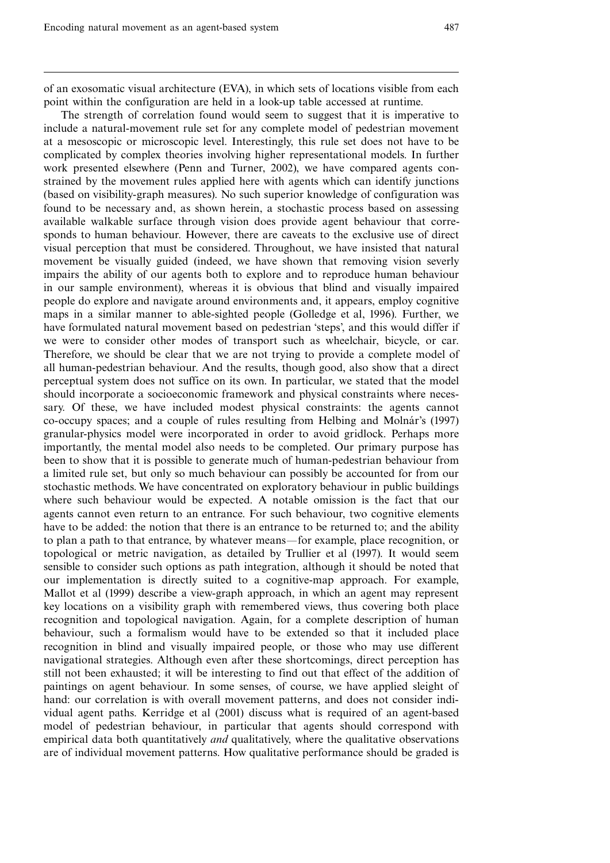of an exosomatic visual architecture (EVA), in which sets of locations visible from each point within the configuration are held in a look-up table accessed at runtime.

The strength of correlation found would seem to suggest that it is imperative to include a natural-movement rule set for any complete model of pedestrian movement at a mesoscopic or microscopic level. Interestingly, this rule set does not have to be complicated by complex theories involving higher representational models. In further work presented elsewhere (Penn and Turner, 2002), we have compared agents constrained by the movement rules applied here with agents which can identify junctions (based on visibility-graph measures). No such superior knowledge of configuration was found to be necessary and, as shown herein, a stochastic process based on assessing available walkable surface through vision does provide agent behaviour that corresponds to human behaviour. However, there are caveats to the exclusive use of direct visual perception that must be considered. Throughout, we have insisted that natural movement be visually guided (indeed, we have shown that removing vision severly impairs the ability of our agents both to explore and to reproduce human behaviour in our sample environment), whereas it is obvious that blind and visually impaired people do explore and navigate around environments and, it appears, employ cognitive maps in a similar manner to able-sighted people (Golledge et al, 1996). Further, we have formulated natural movement based on pedestrian 'steps', and this would differ if we were to consider other modes of transport such as wheelchair, bicycle, or car. Therefore, we should be clear that we are not trying to provide a complete model of all human-pedestrian behaviour. And the results, though good, also show that a direct perceptual system does not suffice on its own. In particular, we stated that the model should incorporate a socioeconomic framework and physical constraints where necessary. Of these, we have included modest physical constraints: the agents cannot co-occupy spaces; and a couple of rules resulting from Helbing and Molna¨r's (1997) granular-physics model were incorporated in order to avoid gridlock. Perhaps more importantly, the mental model also needs to be completed. Our primary purpose has been to show that it is possible to generate much of human-pedestrian behaviour from a limited rule set, but only so much behaviour can possibly be accounted for from our stochastic methods. We have concentrated on exploratory behaviour in public buildings where such behaviour would be expected. A notable omission is the fact that our agents cannot even return to an entrance. For such behaviour, two cognitive elements have to be added: the notion that there is an entrance to be returned to; and the ability to plan a path to that entrance, by whatever means—for example, place recognition, or topological or metric navigation, as detailed by Trullier et al (1997). It would seem sensible to consider such options as path integration, although it should be noted that our implementation is directly suited to a cognitive-map approach. For example, Mallot et al (1999) describe a view-graph approach, in which an agent may represent key locations on a visibility graph with remembered views, thus covering both place recognition and topological navigation. Again, for a complete description of human behaviour, such a formalism would have to be extended so that it included place recognition in blind and visually impaired people, or those who may use different navigational strategies. Although even after these shortcomings, direct perception has still not been exhausted; it will be interesting to find out that effect of the addition of paintings on agent behaviour. In some senses, of course, we have applied sleight of hand: our correlation is with overall movement patterns, and does not consider individual agent paths. Kerridge et al (2001) discuss what is required of an agent-based model of pedestrian behaviour, in particular that agents should correspond with empirical data both quantitatively *and* qualitatively, where the qualitative observations are of individual movement patterns. How qualitative performance should be graded is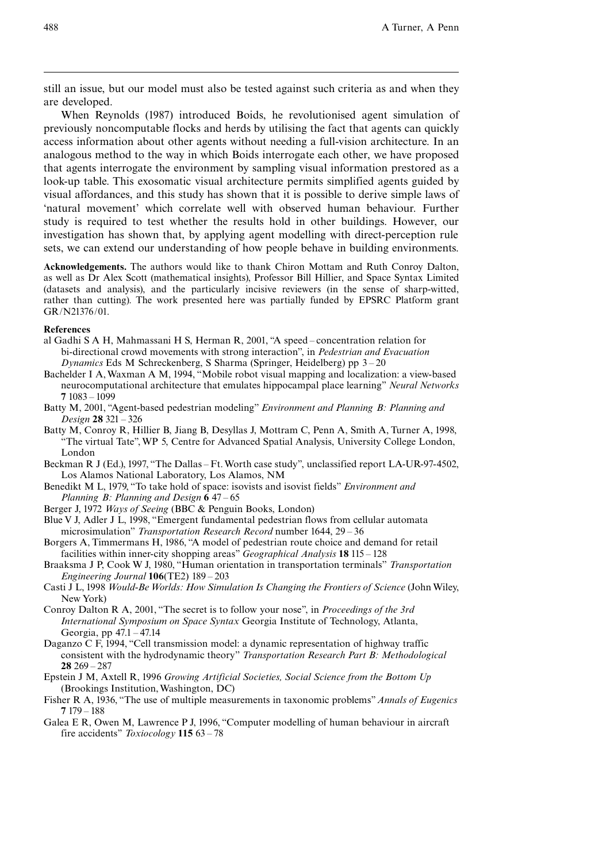still an issue, but our model must also be tested against such criteria as and when they are developed.

When Reynolds (1987) introduced Boids, he revolutionised agent simulation of previously noncomputable flocks and herds by utilising the fact that agents can quickly access information about other agents without needing a full-vision architecture. In an analogous method to the way in which Boids interrogate each other, we have proposed that agents interrogate the environment by sampling visual information prestored as a look-up table. This exosomatic visual architecture permits simplified agents guided by visual affordances, and this study has shown that it is possible to derive simple laws of `natural movement' which correlate well with observed human behaviour. Further study is required to test whether the results hold in other buildings. However, our investigation has shown that, by applying agent modelling with direct-perception rule sets, we can extend our understanding of how people behave in building environments.

Acknowledgements. The authors would like to thank Chiron Mottam and Ruth Conroy Dalton, as well as Dr Alex Scott (mathematical insights), Professor Bill Hillier, and Space Syntax Limited (datasets and analysis), and the particularly incisive reviewers (in the sense of sharp-witted, rather than cutting). The work presented here was partially funded by EPSRC Platform grant GR/N21376/01.

#### References

- al Gadhi S A H, Mahmassani H S, Herman R, 2001, "A speed  $-$  concentration relation for bi-directional crowd movements with strong interaction", in *Pedestrian and Evacuation* Dynamics Eds M Schreckenberg, S Sharma (Springer, Heidelberg) pp  $3 - 20$
- Bachelder I A, Waxman A M, 1994, "Mobile robot visual mapping and localization: a view-based neurocomputational architecture that emulates hippocampal place learning'' Neural Networks 7 1083 ^ 1099
- Batty M, 2001, "Agent-based pedestrian modeling" *Environment and Planning B: Planning and* Design 28 321 - 326
- Batty M, Conroy R, Hillier B, Jiang B, Desyllas J, Mottram C, Penn A, Smith A, Turner A, 1998, ``The virtual Tate'',WP 5, Centre for Advanced Spatial Analysis, University College London, London
- Beckman R J (Ed.), 1997, "The Dallas Ft. Worth case study", unclassified report LA-UR-97-4502, Los Alamos National Laboratory, Los Alamos, NM
- Benedikt M L, 1979, "To take hold of space: isovists and isovist fields" *Environment and* Planning B: Planning and Design  $647 - 65$
- Berger J, 1972 *Ways of Seeing* (BBC & Penguin Books, London)
- Blue V J, Adler J L, 1998, "Emergent fundamental pedestrian flows from cellular automata microsimulation" Transportation Research Record number 1644, 29 - 36
- Borgers A, Timmermans H, 1986, "A model of pedestrian route choice and demand for retail facilities within inner-city shopping areas" *Geographical Analysis* **18** 115 – 128
- Braaksma J P, Cook W J, 1980, "Human orientation in transportation terminals" Transportation Engineering Journal  $106$ (TE2)  $189 - 203$
- Casti J L, 1998 Would-BeWorlds: How Simulation Is Changing the Frontiers of Science (John Wiley, New York)
- Conroy Dalton R A, 2001, "The secret is to follow your nose", in *Proceedings of the 3rd* International Symposium on Space Syntax Georgia Institute of Technology, Atlanta, Georgia, pp  $47.1 - 47.14$
- Daganzo C F, 1994, "Cell transmission model: a dynamic representation of highway traffic consistent with the hydrodynamic theory" Transportation Research Part B: Methodological  $28$  269  $- 287$
- Epstein J M, Axtell R, 1996 Growing Artificial Societies, Social Science from the Bottom Up (Brookings Institution,Washington, DC)
- Fisher R A, 1936, "The use of multiple measurements in taxonomic problems" Annals of Eugenics  $7179 - 188$
- Galea E R, Owen M, Lawrence P J, 1996, "Computer modelling of human behaviour in aircraft fire accidents" Toxiocology 115 63 - 78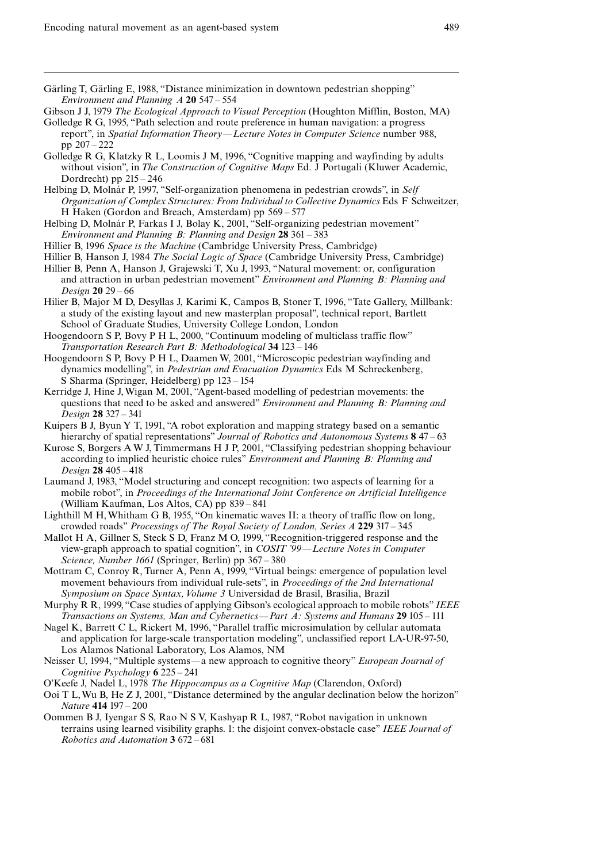Gärling T, Gärling E, 1988, "Distance minimization in downtown pedestrian shopping" Environment and Planning  $A$  20 547 - 554

Gibson J J, 1979 The Ecological Approach to Visual Perception (Houghton Mifflin, Boston, MA)

- Golledge R G, 1995, "Path selection and route preference in human navigation: a progress report", in Spatial Information Theory—Lecture Notes in Computer Science number 988, pp  $207 - 222$
- Golledge R G, Klatzky R L, Loomis J M, 1996, "Cognitive mapping and wayfinding by adults without vision", in The Construction of Cognitive Maps Ed. J Portugali (Kluwer Academic, Dordrecht) pp  $215 - 246$
- Helbing D, Molnár P, 1997, "Self-organization phenomena in pedestrian crowds", in Self Organization of Complex Structures: From Individual to Collective Dynamics Eds F Schweitzer, H Haken (Gordon and Breach, Amsterdam) pp  $569 - 577$
- Helbing D, Molnár P, Farkas I J, Bolay K, 2001, "Self-organizing pedestrian movement" Environment and Planning B: Planning and Design  $28\,361 - 383$
- Hillier B, 1996 Space is the Machine (Cambridge University Press, Cambridge)
- Hillier B, Hanson J, 1984 The Social Logic of Space (Cambridge University Press, Cambridge)
- Hillier B, Penn A, Hanson J, Grajewski T, Xu J, 1993, "Natural movement: or, configuration and attraction in urban pedestrian movement" Environment and Planning B: Planning and *Design*  $20 \ 29 - 66$
- Hilier B, Major M D, Desyllas J, Karimi K, Campos B, Stoner T, 1996, "Tate Gallery, Millbank: a study of the existing layout and new masterplan proposal'', technical report, Bartlett School of Graduate Studies, University College London, London
- Hoogendoorn S P, Bovy P H L, 2000, "Continuum modeling of multiclass traffic flow" Transportation Research Part B: Methodological 34 123 - 146
- Hoogendoorn S P, Bovy P H L, Daamen W, 2001, "Microscopic pedestrian wayfinding and dynamics modelling'', in Pedestrian and Evacuation Dynamics Eds M Schreckenberg, S Sharma (Springer, Heidelberg) pp 123 ^ 154
- Kerridge J, Hine J, Wigan M, 2001, "Agent-based modelling of pedestrian movements: the questions that need to be asked and answered" *Environment and Planning B: Planning and* Design 28 327 - 341
- Kuipers B J, Byun Y T, 1991, "A robot exploration and mapping strategy based on a semantic hierarchy of spatial representations" Journal of Robotics and Autonomous Systems 8 47 - 63
- Kurose S, Borgers A W J, Timmermans H J P, 2001, "Classifying pedestrian shopping behaviour according to implied heuristic choice rules'' Environment and Planning B: Planning and Design 28 405 - 418
- Laumand J, 1983, "Model structuring and concept recognition: two aspects of learning for a mobile robot'', in Proceedings of the International Joint Conference on Artificial Intelligence (William Kaufman, Los Altos, CA) pp 839 - 841
- Lighthill M H, Whitham G B, 1955, "On kinematic waves II: a theory of traffic flow on long, crowded roads" Processings of The Royal Society of London, Series A 229 317 - 345
- Mallot H A, Gillner S, Steck S D, Franz M O, 1999, "Recognition-triggered response and the view-graph approach to spatial cognition", in  $COSIT$  '99—Lecture Notes in Computer Science, Number 1661 (Springer, Berlin) pp 367 - 380
- Mottram C, Conroy R, Turner A, Penn A, 1999, "Virtual beings: emergence of population level movement behaviours from individual rule-sets'', in Proceedings of the 2nd International Symposium on Space Syntax, Volume 3 Universidad de Brasil, Brasilia, Brazil
- Murphy R R, 1999, "Case studies of applying Gibson's ecological approach to mobile robots" IEEE Transactions on Systems, Man and Cybernetics—Part A: Systems and Humans 29  $105 - 111$
- Nagel K, Barrett C L, Rickert M, 1996, "Parallel traffic microsimulation by cellular automata and application for large-scale transportation modeling'', unclassified report LA-UR-97-50, Los Alamos National Laboratory, Los Alamos, NM
- Neisser U, 1994, "Multiple systems—a new approach to cognitive theory" European Journal of Cognitive Psychology  $6 \, 225 - 241$
- O'Keefe J, Nadel L, 1978 The Hippocampus as a Cognitive Map (Clarendon, Oxford)
- Ooi T L, Wu B, He Z J, 2001, "Distance determined by the angular declination below the horizon" Nature 414 197 - 200
- Oommen B J, Iyengar S S, Rao N S V, Kashyap R L, 1987, "Robot navigation in unknown terrains using learned visibility graphs. 1: the disjoint convex-obstacle case" IEEE Journal of Robotics and Automation 3 672 - 681